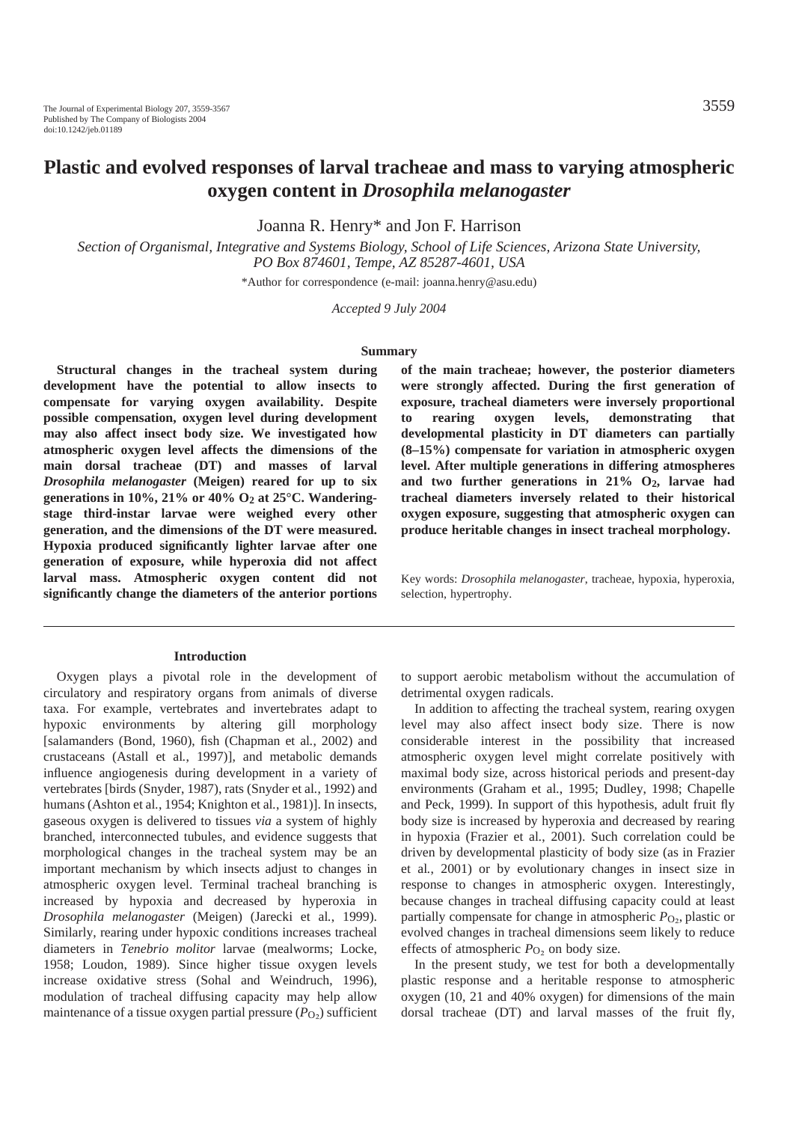# **Plastic and evolved responses of larval tracheae and mass to varying atmospheric oxygen content in** *Drosophila melanogaster*

Joanna R. Henry\* and Jon F. Harrison

*Section of Organismal, Integrative and Systems Biology, School of Life Sciences, Arizona State University, PO Box 874601, Tempe, AZ 85287-4601, USA*

\*Author for correspondence (e-mail: joanna.henry@asu.edu)

*Accepted 9 July 2004*

#### **Summary**

**Structural changes in the tracheal system during development have the potential to allow insects to compensate for varying oxygen availability. Despite possible compensation, oxygen level during development may also affect insect body size. We investigated how atmospheric oxygen level affects the dimensions of the main dorsal tracheae (DT) and masses of larval** *Drosophila melanogaster* **(Meigen) reared for up to six generations in 10%, 21% or 40% O2 at 25°C. Wanderingstage third-instar larvae were weighed every other generation, and the dimensions of the DT were measured. Hypoxia produced significantly lighter larvae after one generation of exposure, while hyperoxia did not affect larval mass. Atmospheric oxygen content did not significantly change the diameters of the anterior portions**

#### **Introduction**

Oxygen plays a pivotal role in the development of circulatory and respiratory organs from animals of diverse taxa. For example, vertebrates and invertebrates adapt to hypoxic environments by altering gill morphology [salamanders (Bond, 1960), fish (Chapman et al*.*, 2002) and crustaceans (Astall et al*.*, 1997)], and metabolic demands influence angiogenesis during development in a variety of vertebrates [birds (Snyder, 1987), rats (Snyder et al*.*, 1992) and humans (Ashton et al*.*, 1954; Knighton et al*.*, 1981)]. In insects, gaseous oxygen is delivered to tissues *via* a system of highly branched, interconnected tubules, and evidence suggests that morphological changes in the tracheal system may be an important mechanism by which insects adjust to changes in atmospheric oxygen level. Terminal tracheal branching is increased by hypoxia and decreased by hyperoxia in *Drosophila melanogaster* (Meigen) (Jarecki et al*.*, 1999). Similarly, rearing under hypoxic conditions increases tracheal diameters in *Tenebrio molitor* larvae (mealworms; Locke, 1958; Loudon, 1989). Since higher tissue oxygen levels increase oxidative stress (Sohal and Weindruch, 1996), modulation of tracheal diffusing capacity may help allow maintenance of a tissue oxygen partial pressure  $(P<sub>O<sub>2</sub></sub>)$  sufficient **of the main tracheae; however, the posterior diameters were strongly affected. During the first generation of exposure, tracheal diameters were inversely proportional to rearing oxygen levels, demonstrating that developmental plasticity in DT diameters can partially (8–15%) compensate for variation in atmospheric oxygen level. After multiple generations in differing atmospheres and two further generations in 21% O2, larvae had tracheal diameters inversely related to their historical oxygen exposure, suggesting that atmospheric oxygen can produce heritable changes in insect tracheal morphology.**

Key words: *Drosophila melanogaster*, tracheae, hypoxia, hyperoxia, selection, hypertrophy.

to support aerobic metabolism without the accumulation of detrimental oxygen radicals.

In addition to affecting the tracheal system, rearing oxygen level may also affect insect body size. There is now considerable interest in the possibility that increased atmospheric oxygen level might correlate positively with maximal body size, across historical periods and present-day environments (Graham et al*.*, 1995; Dudley, 1998; Chapelle and Peck, 1999). In support of this hypothesis, adult fruit fly body size is increased by hyperoxia and decreased by rearing in hypoxia (Frazier et al*.*, 2001). Such correlation could be driven by developmental plasticity of body size (as in Frazier et al*.*, 2001) or by evolutionary changes in insect size in response to changes in atmospheric oxygen. Interestingly, because changes in tracheal diffusing capacity could at least partially compensate for change in atmospheric  $P<sub>O<sub>2</sub></sub>$ , plastic or evolved changes in tracheal dimensions seem likely to reduce effects of atmospheric  $P<sub>O<sub>2</sub></sub>$  on body size.

In the present study, we test for both a developmentally plastic response and a heritable response to atmospheric oxygen (10, 21 and 40% oxygen) for dimensions of the main dorsal tracheae (DT) and larval masses of the fruit fly,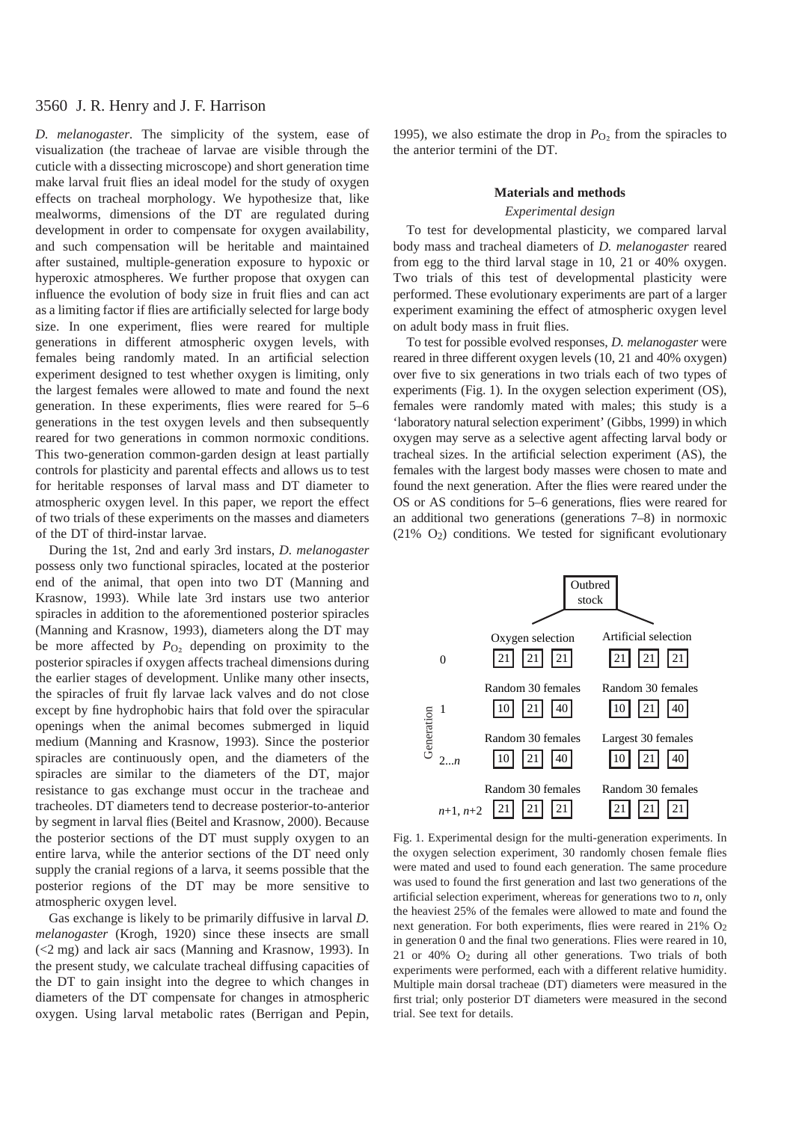*D. melanogaster.* The simplicity of the system, ease of visualization (the tracheae of larvae are visible through the cuticle with a dissecting microscope) and short generation time make larval fruit flies an ideal model for the study of oxygen effects on tracheal morphology. We hypothesize that, like mealworms, dimensions of the DT are regulated during development in order to compensate for oxygen availability, and such compensation will be heritable and maintained after sustained, multiple-generation exposure to hypoxic or hyperoxic atmospheres. We further propose that oxygen can influence the evolution of body size in fruit flies and can act as a limiting factor if flies are artificially selected for large body size. In one experiment, flies were reared for multiple generations in different atmospheric oxygen levels, with females being randomly mated. In an artificial selection experiment designed to test whether oxygen is limiting, only the largest females were allowed to mate and found the next generation. In these experiments, flies were reared for 5–6 generations in the test oxygen levels and then subsequently reared for two generations in common normoxic conditions. This two-generation common-garden design at least partially controls for plasticity and parental effects and allows us to test for heritable responses of larval mass and DT diameter to atmospheric oxygen level. In this paper, we report the effect of two trials of these experiments on the masses and diameters of the DT of third-instar larvae.

During the 1st, 2nd and early 3rd instars, *D. melanogaster* possess only two functional spiracles, located at the posterior end of the animal, that open into two DT (Manning and Krasnow, 1993). While late 3rd instars use two anterior spiracles in addition to the aforementioned posterior spiracles (Manning and Krasnow, 1993), diameters along the DT may be more affected by  $P_{\text{O}_2}$  depending on proximity to the posterior spiracles if oxygen affects tracheal dimensions during the earlier stages of development. Unlike many other insects, the spiracles of fruit fly larvae lack valves and do not close except by fine hydrophobic hairs that fold over the spiracular openings when the animal becomes submerged in liquid medium (Manning and Krasnow, 1993). Since the posterior spiracles are continuously open, and the diameters of the spiracles are similar to the diameters of the DT, major resistance to gas exchange must occur in the tracheae and tracheoles. DT diameters tend to decrease posterior-to-anterior by segment in larval flies (Beitel and Krasnow, 2000). Because the posterior sections of the DT must supply oxygen to an entire larva, while the anterior sections of the DT need only supply the cranial regions of a larva, it seems possible that the posterior regions of the DT may be more sensitive to atmospheric oxygen level.

Gas exchange is likely to be primarily diffusive in larval *D. melanogaster* (Krogh, 1920) since these insects are small  $(< 2 mg$ ) and lack air sacs (Manning and Krasnow, 1993). In the present study, we calculate tracheal diffusing capacities of the DT to gain insight into the degree to which changes in diameters of the DT compensate for changes in atmospheric oxygen. Using larval metabolic rates (Berrigan and Pepin,

1995), we also estimate the drop in  $P<sub>O<sub>2</sub></sub>$  from the spiracles to the anterior termini of the DT.

#### **Materials and methods**

### *Experimental design*

To test for developmental plasticity, we compared larval body mass and tracheal diameters of *D. melanogaster* reared from egg to the third larval stage in 10, 21 or 40% oxygen. Two trials of this test of developmental plasticity were performed. These evolutionary experiments are part of a larger experiment examining the effect of atmospheric oxygen level on adult body mass in fruit flies.

To test for possible evolved responses, *D. melanogaster* were reared in three different oxygen levels (10, 21 and 40% oxygen) over five to six generations in two trials each of two types of experiments (Fig. 1). In the oxygen selection experiment  $(OS)$ , females were randomly mated with males; this study is a 'laboratory natural selection experiment' (Gibbs, 1999) in which oxygen may serve as a selective agent affecting larval body or tracheal sizes. In the artificial selection experiment (AS), the females with the largest body masses were chosen to mate and found the next generation. After the flies were reared under the OS or AS conditions for 5–6 generations, flies were reared for an additional two generations (generations 7–8) in normoxic  $(21\% \text{ O}_2)$  conditions. We tested for significant evolutionary



Fig. 1. Experimental design for the multi-generation experiments. In the oxygen selection experiment, 30 randomly chosen female flies were mated and used to found each generation. The same procedure was used to found the first generation and last two generations of the artificial selection experiment, whereas for generations two to *n*, only the heaviest 25% of the females were allowed to mate and found the next generation. For both experiments, flies were reared in 21% O2 in generation 0 and the final two generations. Flies were reared in 10, 21 or 40% O2 during all other generations. Two trials of both experiments were performed, each with a different relative humidity. Multiple main dorsal tracheae (DT) diameters were measured in the first trial; only posterior DT diameters were measured in the second trial. See text for details.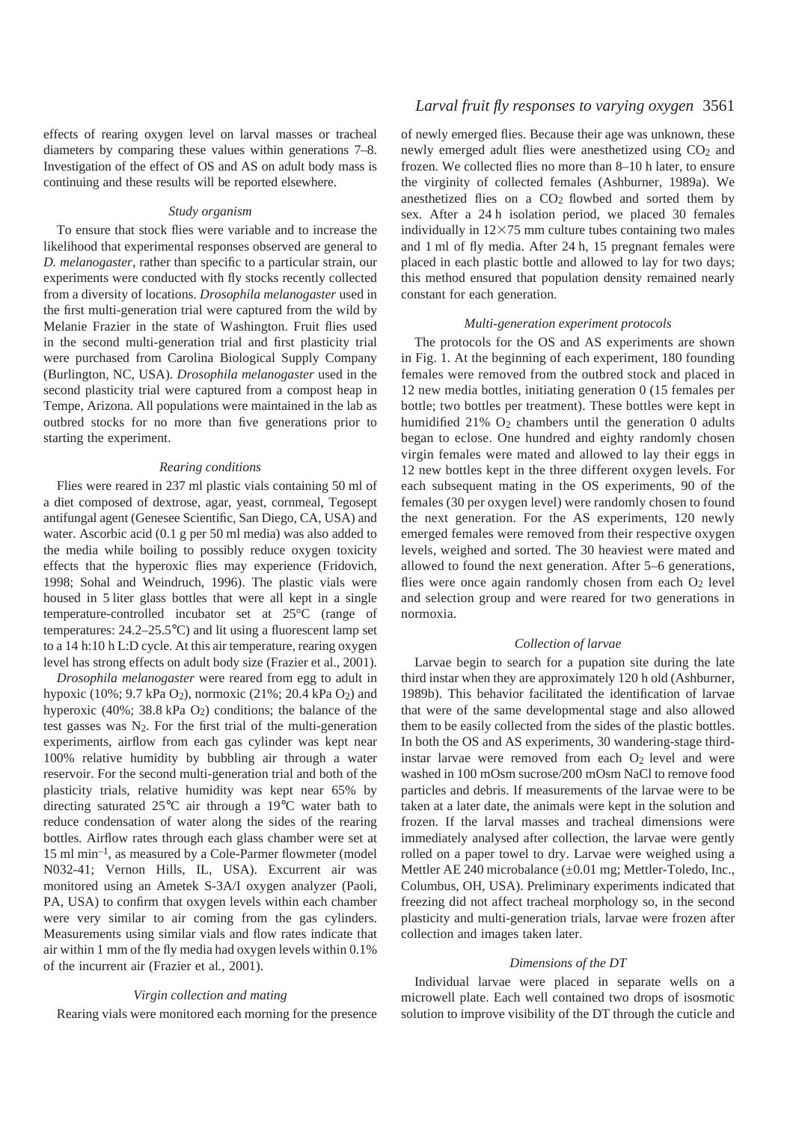effects of rearing oxygen level on larval masses or tracheal diameters by comparing these values within generations 7–8. Investigation of the effect of OS and AS on adult body mass is continuing and these results will be reported elsewhere.

### *Study organism*

To ensure that stock flies were variable and to increase the likelihood that experimental responses observed are general to *D. melanogaster*, rather than specific to a particular strain, our experiments were conducted with fly stocks recently collected from a diversity of locations. *Drosophila melanogaster* used in the first multi-generation trial were captured from the wild by Melanie Frazier in the state of Washington. Fruit flies used in the second multi-generation trial and first plasticity trial were purchased from Carolina Biological Supply Company (Burlington, NC, USA). *Drosophila melanogaster* used in the second plasticity trial were captured from a compost heap in Tempe, Arizona. All populations were maintained in the lab as outbred stocks for no more than five generations prior to starting the experiment.

#### *Rearing conditions*

Flies were reared in 237 ml plastic vials containing 50 ml of a diet composed of dextrose, agar, yeast, cornmeal, Tegosept antifungal agent (Genesee Scientific, San Diego, CA, USA) and water. Ascorbic acid  $(0.1\text{ g per }50\text{ ml median})$  was also added to the media while boiling to possibly reduce oxygen toxicity effects that the hyperoxic flies may experience (Fridovich, 1998; Sohal and Weindruch, 1996). The plastic vials were housed in 5 liter glass bottles that were all kept in a single temperature-controlled incubator set at 25°C (range of temperatures: 24.2–25.5°C) and lit using a fluorescent lamp set to a 14 h:10 h L:D cycle. At this air temperature, rearing oxygen level has strong effects on adult body size (Frazier et al., 2001).

*Drosophila melanogaster* were reared from egg to adult in hypoxic (10%; 9.7 kPa O<sub>2</sub>), normoxic (21%; 20.4 kPa O<sub>2</sub>) and hyperoxic (40%; 38.8 kPa  $O<sub>2</sub>$ ) conditions; the balance of the test gasses was  $N_2$ . For the first trial of the multi-generation experiments, airflow from each gas cylinder was kept near 100% relative humidity by bubbling air through a water reservoir. For the second multi-generation trial and both of the plasticity trials, relative humidity was kept near 65% by directing saturated 25°C air through a 19°C water bath to reduce condensation of water along the sides of the rearing bottles*.* Airflow rates through each glass chamber were set at 15 ml min<sup>-1</sup>, as measured by a Cole-Parmer flowmeter (model N032-41; Vernon Hills, IL, USA). Excurrent air was monitored using an Ametek S-3A/I oxygen analyzer (Paoli, PA, USA) to confirm that oxygen levels within each chamber were very similar to air coming from the gas cylinders. Measurements using similar vials and flow rates indicate that air within 1 mm of the fly media had oxygen levels within  $0.1\%$ of the incurrent air (Frazier et al*.*, 2001).

#### *Virgin collection and mating*

Rearing vials were monitored each morning for the presence

## *Larval fruit fly responses to varying oxygen* 3561

of newly emerged flies. Because their age was unknown, these newly emerged adult flies were anesthetized using CO2 and frozen. We collected flies no more than 8-10 h later, to ensure the virginity of collected females (Ashburner, 1989a). We anesthetized flies on a  $CO<sub>2</sub>$  flowbed and sorted them by sex. After a 24 h isolation period, we placed 30 females individually in  $12\times75$  mm culture tubes containing two males and 1 ml of fly media. After 24 h, 15 pregnant females were placed in each plastic bottle and allowed to lay for two days; this method ensured that population density remained nearly constant for each generation.

#### *Multi-generation experiment protocols*

The protocols for the OS and AS experiments are shown in Fig. 1. At the beginning of each experiment, 180 founding females were removed from the outbred stock and placed in 12 new media bottles, initiating generation 0 (15 females per bottle; two bottles per treatment). These bottles were kept in humidified  $21\%$  O<sub>2</sub> chambers until the generation 0 adults began to eclose. One hundred and eighty randomly chosen virgin females were mated and allowed to lay their eggs in 12 new bottles kept in the three different oxygen levels. For each subsequent mating in the OS experiments, 90 of the females (30 per oxygen level) were randomly chosen to found the next generation. For the AS experiments, 120 newly emerged females were removed from their respective oxygen levels, weighed and sorted. The 30 heaviest were mated and allowed to found the next generation. After 5–6 generations, flies were once again randomly chosen from each  $O<sub>2</sub>$  level and selection group and were reared for two generations in normoxia.

#### *Collection of larvae*

Larvae begin to search for a pupation site during the late third instar when they are approximately 120 h old (Ashburner, 1989b). This behavior facilitated the identification of larvae that were of the same developmental stage and also allowed them to be easily collected from the sides of the plastic bottles. In both the OS and AS experiments, 30 wandering-stage thirdinstar larvae were removed from each  $O<sub>2</sub>$  level and were washed in 100 mOsm sucrose/200 mOsm NaCl to remove food particles and debris. If measurements of the larvae were to be taken at a later date, the animals were kept in the solution and frozen. If the larval masses and tracheal dimensions were immediately analysed after collection, the larvae were gently rolled on a paper towel to dry. Larvae were weighed using a Mettler AE 240 microbalance  $(\pm 0.01$  mg; Mettler-Toledo, Inc., Columbus, OH, USA). Preliminary experiments indicated that freezing did not affect tracheal morphology so, in the second plasticity and multi-generation trials, larvae were frozen after collection and images taken later.

#### *Dimensions of the DT*

Individual larvae were placed in separate wells on a microwell plate. Each well contained two drops of isosmotic solution to improve visibility of the DT through the cuticle and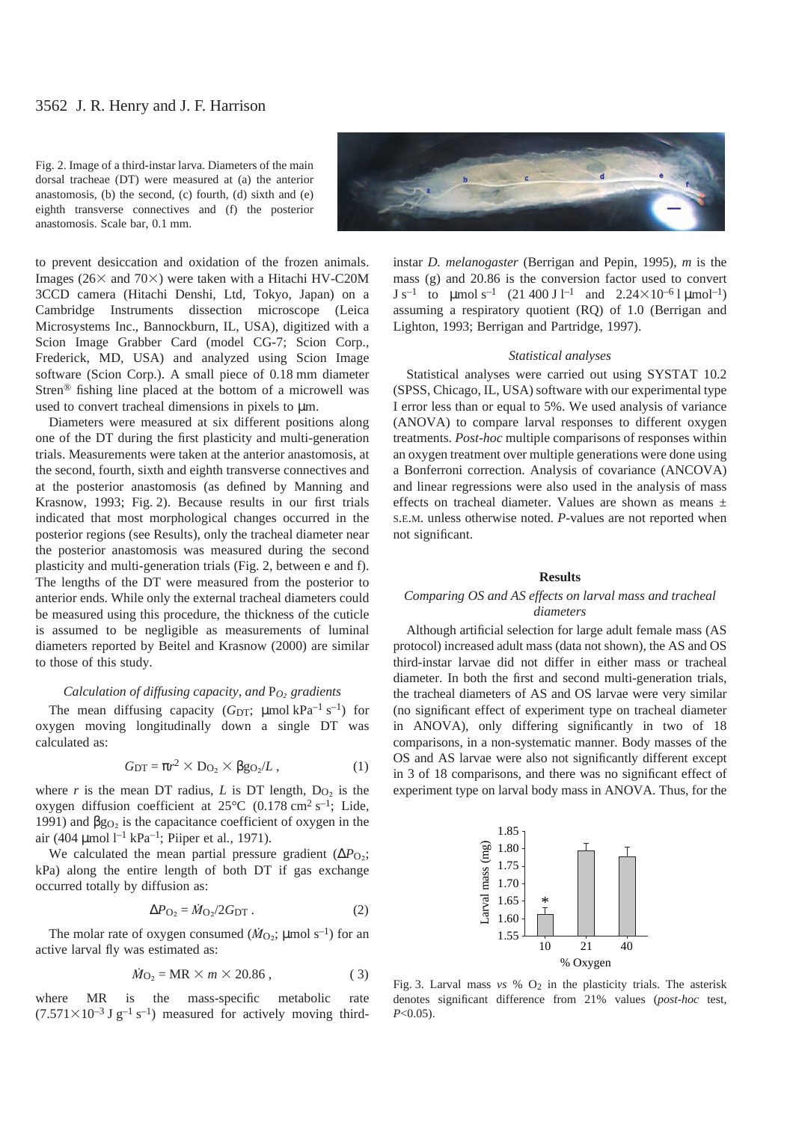Fig. 2. Image of a third-instar larva. Diameters of the main dorsal tracheae (DT) were measured at (a) the anterior anastomosis, (b) the second, (c) fourth, (d) sixth and (e) eighth transverse connectives and (f) the posterior anastomosis. Scale bar, 0.1 mm.



to prevent desiccation and oxidation of the frozen animals. Images ( $26\times$  and  $70\times$ ) were taken with a Hitachi HV-C20M 3CCD camera (Hitachi Denshi, Ltd, Tokyo, Japan) on a Cambridge Instruments dissection microscope (Leica Microsystems Inc., Bannockburn, IL, USA), digitized with a Scion Image Grabber Card (model CG-7; Scion Corp., Frederick, MD, USA) and analyzed using Scion Image software (Scion Corp.). A small piece of 0.18 mm diameter Stren® fishing line placed at the bottom of a microwell was used to convert tracheal dimensions in pixels to  $\mu$ m.

Diameters were measured at six different positions along one of the DT during the first plasticity and multi-generation trials. Measurements were taken at the anterior anastomosis, at the second, fourth, sixth and eighth transverse connectives and at the posterior anastomosis (as defined by Manning and Krasnow, 1993; Fig. 2). Because results in our first trials indicated that most morphological changes occurred in the posterior regions (see Results), only the tracheal diameter near the posterior anastomosis was measured during the second plasticity and multi-generation trials (Fig. 2, between e and f). The lengths of the DT were measured from the posterior to anterior ends. While only the external tracheal diameters could be measured using this procedure, the thickness of the cuticle is assumed to be negligible as measurements of luminal diameters reported by Beitel and Krasnow (2000) are similar to those of this study.

## *Calculation of diffusing capacity, and* P*O∑ gradients*

The mean diffusing capacity ( $G_{DT}$ ;  $\mu$ mol kPa<sup>-1</sup> s<sup>-1</sup>) for oxygen moving longitudinally down a single DT was calculated as:

$$
G_{\rm DT} = \pi r^2 \times D_{\rm O_2} \times \beta g_{\rm O_2}/L \,, \tag{1}
$$

where *r* is the mean DT radius, *L* is DT length,  $D_{O_2}$  is the oxygen diffusion coefficient at  $25^{\circ}$ C (0.178 cm<sup>2</sup> s<sup>-1</sup>; Lide, 1991) and  $\beta$ g<sub>O</sub> is the capacitance coefficient of oxygen in the air (404 µmol l<sup>-1</sup> kPa<sup>-1</sup>; Piiper et al., 1971).

We calculated the mean partial pressure gradient ( $\Delta P_{\text{O}}$ ); kPa) along the entire length of both DT if gas exchange occurred totally by diffusion as:

$$
\Delta P_{\rm O_2} = \dot{M}_{\rm O_2} / 2G_{\rm DT} \ . \tag{2}
$$

The molar rate of oxygen consumed ( $\dot{M}_{\text{O}_2}$ ; µmol s<sup>-1</sup>) for an active larval fly was estimated as:

$$
\dot{M}_{\text{O}_2} = \text{MR} \times m \times 20.86 \,, \tag{3}
$$

where MR is the mass-specific metabolic rate  $(7.571\times10^{-3} \text{ J g}^{-1} \text{ s}^{-1})$  measured for actively moving thirdinstar *D. melanogaster* (Berrigan and Pepin, 1995), *m* is the mass (g) and 20.86 is the conversion factor used to convert  $J s^{-1}$  to  $\mu$ mols<sup>-1</sup> (21 400 J l<sup>-1</sup> and 2.24×10<sup>-6</sup> l  $\mu$ mol<sup>-1</sup>) assuming a respiratory quotient (RQ) of 1.0 (Berrigan and Lighton, 1993; Berrigan and Partridge, 1997).

#### *Statistical analyses*

Statistical analyses were carried out using SYSTAT 10.2 (SPSS, Chicago, IL, USA) software with our experimental type I error less than or equal to 5%. We used analysis of variance (ANOVA) to compare larval responses to different oxygen treatments. *Post-hoc* multiple comparisons of responses within an oxygen treatment over multiple generations were done using a Bonferroni correction. Analysis of covariance (ANCOVA) and linear regressions were also used in the analysis of mass effects on tracheal diameter. Values are shown as means ± S.E.M. unless otherwise noted. *P*-values are not reported when not significant.

### **Results**

### *Comparing OS and AS effects on larval mass and tracheal diameters*

Although artificial selection for large adult female mass (AS protocol) increased adult mass (data not shown), the AS and OS third-instar larvae did not differ in either mass or tracheal diameter. In both the first and second multi-generation trials, the tracheal diameters of AS and OS larvae were very similar (no significant effect of experiment type on tracheal diameter in ANOVA), only differing significantly in two of 18 comparisons, in a non-systematic manner. Body masses of the OS and AS larvae were also not significantly different except in 3 of 18 comparisons, and there was no significant effect of experiment type on larval body mass in ANOVA. Thus, for the



Fig. 3. Larval mass  $v_s$  %  $O_2$  in the plasticity trials. The asterisk denotes significant difference from 21% values (*post-hoc* test, *P*<0.05).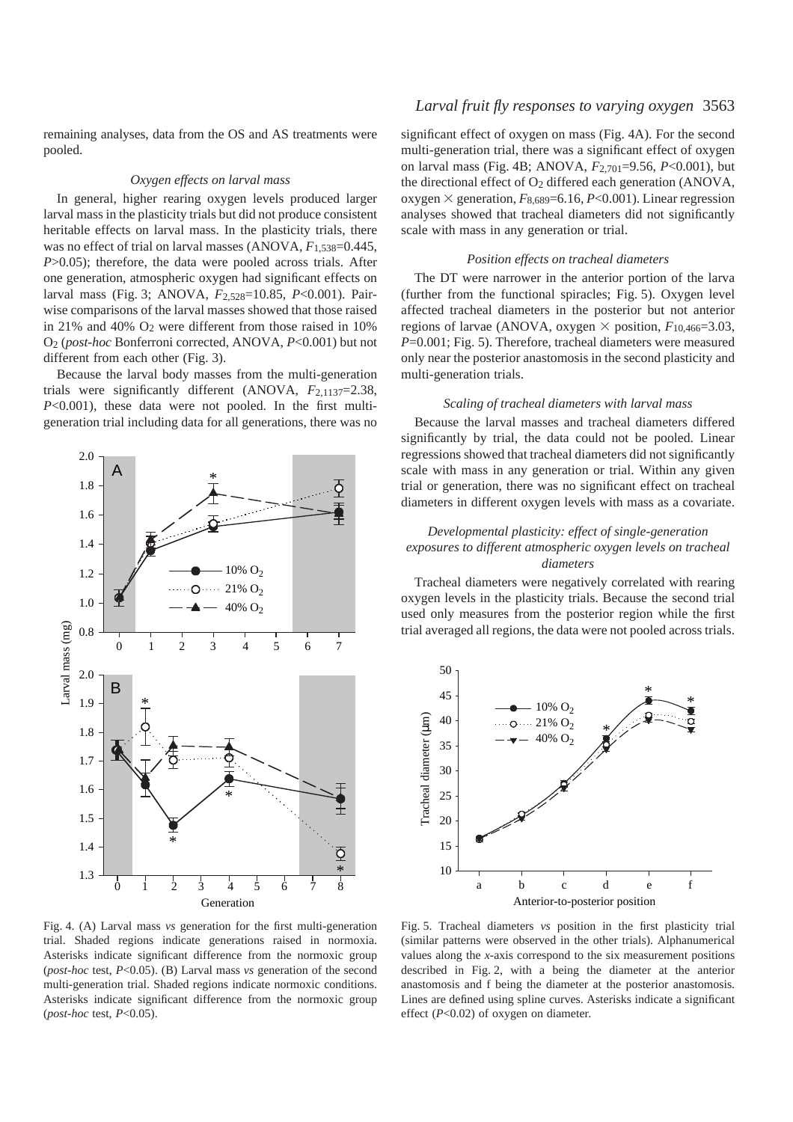remaining analyses, data from the OS and AS treatments were pooled.

#### *Oxygen effects on larval mass*

In general, higher rearing oxygen levels produced larger larval mass in the plasticity trials but did not produce consistent heritable effects on larval mass. In the plasticity trials, there was no effect of trial on larval masses (ANOVA,  $F_1$ , 538=0.445, *P*>0.05); therefore, the data were pooled across trials. After one generation, atmospheric oxygen had significant effects on larval mass (Fig. 3; ANOVA,  $F_{2.528}=10.85$ , *P*<0.001). Pairwise comparisons of the larval masses showed that those raised in 21% and 40% O2 were different from those raised in 10% O2 (*post-hoc* Bonferroni corrected, ANOVA, *P*<0.001) but not different from each other  $(Fig. 3)$ .

Because the larval body masses from the multi-generation trials were significantly different (ANOVA,  $F_{2,1137}=2.38$ , *P*<0.001), these data were not pooled. In the first multigeneration trial including data for all generations, there was no



Fig. 4. (A) Larval mass *vs* generation for the first multi-generation trial. Shaded regions indicate generations raised in normoxia. Asterisks indicate significant difference from the normoxic group (*post-hoc* test, *P*<0.05). (B) Larval mass *vs* generation of the second multi-generation trial. Shaded regions indicate normoxic conditions. Asterisks indicate significant difference from the normoxic group

## *Larval fruit fly responses to varying oxygen* 3563

significant effect of oxygen on mass (Fig. 4A). For the second multi-generation trial, there was a significant effect of oxygen on larval mass (Fig. 4B; ANOVA,  $F_{2,701}$ =9.56, *P*<0.001), but the directional effect of  $O<sub>2</sub>$  differed each generation (ANOVA, oxygen  $\times$  generation,  $F_{8,689}=6.16, P<0.001$ ). Linear regression analyses showed that tracheal diameters did not significantly scale with mass in any generation or trial.

### *Position effects on tracheal diameters*

The DT were narrower in the anterior portion of the larva (further from the functional spiracles; Fig. 5). Oxygen level affected tracheal diameters in the posterior but not anterior regions of larvae (ANOVA, oxygen  $\times$  position,  $F_{10,466}=3.03$ , *P*=0.001; Fig. 5). Therefore, tracheal diameters were measured only near the posterior anastomosis in the second plasticity and multi-generation trials.

#### *Scaling of tracheal diameters with larval mass*

Because the larval masses and tracheal diameters differed significantly by trial, the data could not be pooled. Linear regressions showed that tracheal diameters did not significantly scale with mass in any generation or trial. Within any given trial or generation, there was no significant effect on tracheal diameters in different oxygen levels with mass as a covariate.

## *Developmental plasticity: effect of single-generation exposures to different atmospheric oxygen levels on tracheal diameters*

Tracheal diameters were negatively correlated with rearing oxygen levels in the plasticity trials. Because the second trial used only measures from the posterior region while the first trial averaged all regions, the data were not pooled across trials.



Fig. 5. Tracheal diameters *vs* position in the first plasticity trial (similar patterns were observed in the other trials). Alphanumerical values along the *x*-axis correspond to the six measurement positions described in Fig. 2, with a being the diameter at the anterior anastomosis and f being the diameter at the posterior anastomosis. Lines are defined using spline curves. Asterisks indicate a significant effect (*P*<0.02) of oxygen on diameter*.*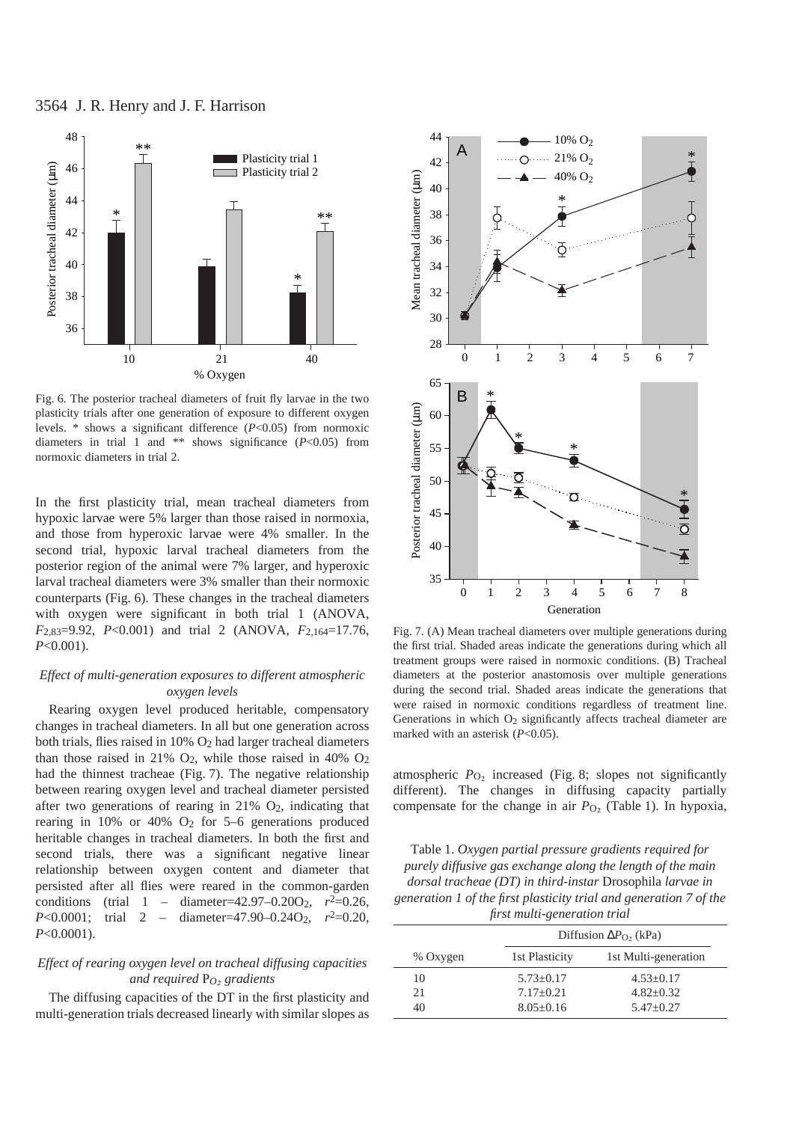

Fig. 6. The posterior tracheal diameters of fruit fly larvae in the two plasticity trials after one generation of exposure to different oxygen levels. \* shows a significant difference (*P*<0.05) from normoxic diameters in trial 1 and \*\* shows significance (*P*<0.05) from normoxic diameters in trial 2.

In the first plasticity trial, mean tracheal diameters from hypoxic larvae were 5% larger than those raised in normoxia, and those from hyperoxic larvae were 4% smaller. In the second trial, hypoxic larval tracheal diameters from the posterior region of the animal were 7% larger, and hyperoxic larval tracheal diameters were 3% smaller than their normoxic counterparts (Fig. 6). These changes in the tracheal diameters with oxygen were significant in both trial 1 (ANOVA, *F*2,83=9.92, *P*<0.001) and trial 2 (ANOVA, *F*2,164=17.76, *P*<0.001).

## *Effect of multi-generation exposures to different atmospheric oxygen levels*

Rearing oxygen level produced heritable, compensatory changes in tracheal diameters. In all but one generation across both trials, flies raised in 10% O2 had larger tracheal diameters than those raised in 21%  $O_2$ , while those raised in 40%  $O_2$ had the thinnest tracheae (Fig. 7). The negative relationship between rearing oxygen level and tracheal diameter persisted after two generations of rearing in  $21\%$  O<sub>2</sub>, indicating that rearing in  $10\%$  or  $40\%$  O<sub>2</sub> for  $5-6$  generations produced heritable changes in tracheal diameters. In both the first and second trials, there was a significant negative linear relationship between oxygen content and diameter that persisted after all flies were reared in the common-garden conditions (trial 1 – diameter=42.97–0.200<sub>2</sub>,  $r^2$ =0.26, *P*<0.0001; trial 2 – diameter=47.90–0.24O<sub>2</sub>,  $r^2$ =0.20, *P*<0.0001).

## *Effect of rearing oxygen level on tracheal diffusing capacities and required* P*O*<sup>∑</sup> *gradients*

The diffusing capacities of the DT in the first plasticity and multi-generation trials decreased linearly with similar slopes as



Fig. 7. (A) Mean tracheal diameters over multiple generations during the first trial. Shaded areas indicate the generations during which all treatment groups were raised in normoxic conditions. (B) Tracheal diameters at the posterior anastomosis over multiple generations during the second trial. Shaded areas indicate the generations that were raised in normoxic conditions regardless of treatment line. Generations in which O<sub>2</sub> significantly affects tracheal diameter are marked with an asterisk (*P*<0.05).

atmospheric  $P_{\text{O}_2}$  increased (Fig. 8; slopes not significantly different). The changes in diffusing capacity partially compensate for the change in air  $P_{\text{O}_2}$  (Table 1). In hypoxia,

Table 1. *Oxygen partial pressure gradients required for purely diffusive gas exchange along the length of the main dorsal tracheae (DT) in third-instar* Drosophila *larvae in generation 1 of the first plasticity trial and generation 7 of the first multi-generation trial*

|          | Diffusion $\Delta P_{\Omega}$ , (kPa) |                      |  |
|----------|---------------------------------------|----------------------|--|
| % Oxygen | 1st Plasticity                        | 1st Multi-generation |  |
| 10       | $5.73 + 0.17$                         | $4.53+0.17$          |  |
| 21       | $7.17+0.21$                           | $4.82 + 0.32$        |  |
| 40       | $8.05 + 0.16$                         | $5.47+0.27$          |  |
|          |                                       |                      |  |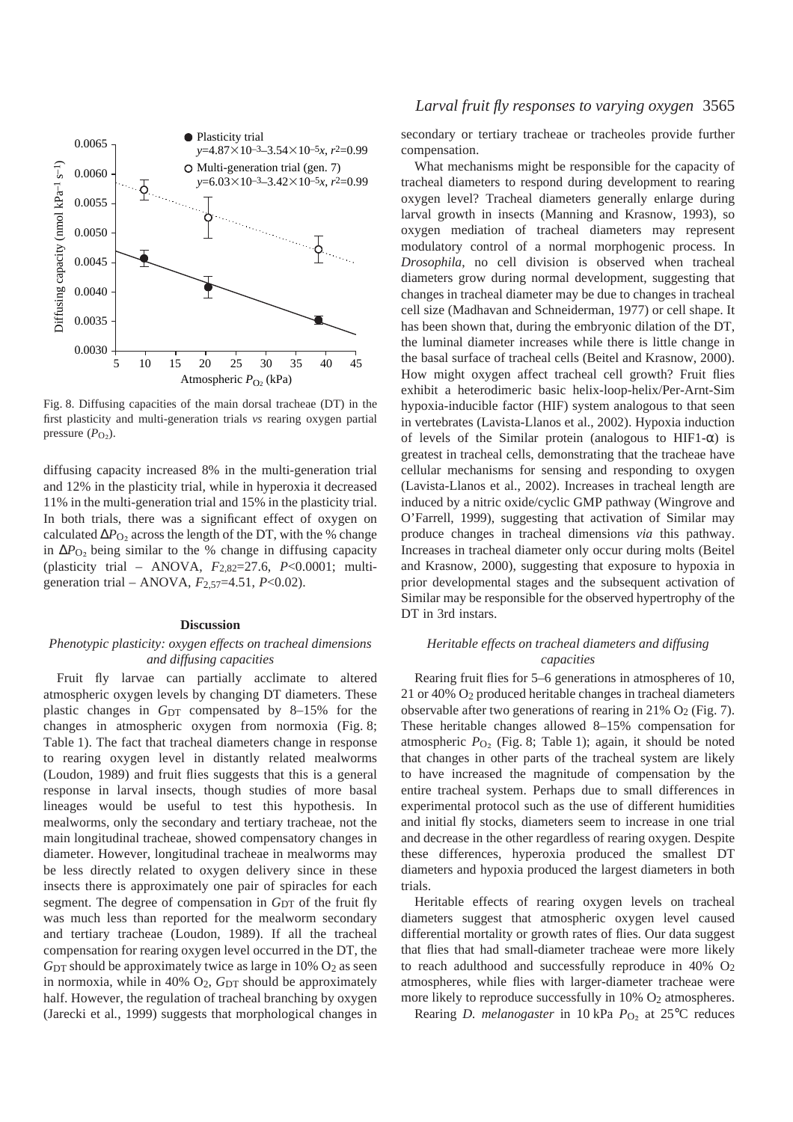

Fig. 8. Diffusing capacities of the main dorsal tracheae (DT) in the first plasticity and multi-generation trials *vs* rearing oxygen partial pressure  $(P<sub>O<sub>2</sub></sub>)$ .

diffusing capacity increased 8% in the multi-generation trial and 12% in the plasticity trial, while in hyperoxia it decreased 11% in the multi-generation trial and 15% in the plasticity trial. In both trials, there was a significant effect of oxygen on calculated  $\Delta P_{\Omega_2}$  across the length of the DT, with the % change in  $\Delta P_{\text{O}_2}$  being similar to the % change in diffusing capacity (plasticity trial – ANOVA, *F*2,82=27.6, *P*<0.0001; multigeneration trial – ANOVA, *F*2,57=4.51, *P*<0.02).

#### **Discussion**

## *Phenotypic plasticity: oxygen effects on tracheal dimensions and diffusing capacities*

Fruit fly larvae can partially acclimate to altered atmospheric oxygen levels by changing DT diameters. These plastic changes in *G*DT compensated by 8–15% for the changes in atmospheric oxygen from normoxia (Fig. 8; Table 1). The fact that tracheal diameters change in response to rearing oxygen level in distantly related mealworms (Loudon, 1989) and fruit flies suggests that this is a general response in larval insects, though studies of more basal lineages would be useful to test this hypothesis. In mealworms, only the secondary and tertiary tracheae, not the main longitudinal tracheae, showed compensatory changes in diameter. However, longitudinal tracheae in mealworms may be less directly related to oxygen delivery since in these insects there is approximately one pair of spiracles for each segment. The degree of compensation in *G*<sub>DT</sub> of the fruit fly was much less than reported for the mealworm secondary and tertiary tracheae (Loudon, 1989). If all the tracheal compensation for rearing oxygen level occurred in the DT, the  $G_{DT}$  should be approximately twice as large in 10%  $O_2$  as seen in normoxia, while in 40%  $O_2$ ,  $G_{DT}$  should be approximately half. However, the regulation of tracheal branching by oxygen (Jarecki et al*.*, 1999) suggests that morphological changes in

## *Larval fruit fly responses to varying oxygen* 3565

secondary or tertiary tracheae or tracheoles provide further compensation.

What mechanisms might be responsible for the capacity of tracheal diameters to respond during development to rearing oxygen level? Tracheal diameters generally enlarge during larval growth in insects (Manning and Krasnow, 1993), so oxygen mediation of tracheal diameters may represent modulatory control of a normal morphogenic process. In *Drosophila*, no cell division is observed when tracheal diameters grow during normal development, suggesting that changes in tracheal diameter may be due to changes in tracheal cell size (Madhavan and Schneiderman, 1977) or cell shape. It has been shown that, during the embryonic dilation of the DT, the luminal diameter increases while there is little change in the basal surface of tracheal cells (Beitel and Krasnow, 2000). How might oxygen affect tracheal cell growth? Fruit flies exhibit a heterodimeric basic helix-loop-helix/Per-Arnt-Sim hypoxia-inducible factor (HIF) system analogous to that seen in vertebrates (Lavista-Llanos et al., 2002). Hypoxia induction of levels of the Similar protein (analogous to HIF1- $\alpha$ ) is greatest in tracheal cells, demonstrating that the tracheae have cellular mechanisms for sensing and responding to oxygen (Lavista-Llanos et al., 2002). Increases in tracheal length are induced by a nitric oxide/cyclic GMP pathway (Wingrove and O'Farrell, 1999), suggesting that activation of Similar may produce changes in tracheal dimensions *via* this pathway. Increases in tracheal diameter only occur during molts (Beitel and Krasnow, 2000), suggesting that exposure to hypoxia in prior developmental stages and the subsequent activation of Similar may be responsible for the observed hypertrophy of the DT in 3rd instars.

## *Heritable effects on tracheal diameters and diffusing capacities*

Rearing fruit flies for 5–6 generations in atmospheres of 10, 21 or 40% O2 produced heritable changes in tracheal diameters observable after two generations of rearing in 21%  $O_2$  (Fig. 7). These heritable changes allowed 8–15% compensation for atmospheric  $P_{\text{O}_2}$  (Fig. 8; Table 1); again, it should be noted that changes in other parts of the tracheal system are likely to have increased the magnitude of compensation by the entire tracheal system. Perhaps due to small differences in experimental protocol such as the use of different humidities and initial fly stocks, diameters seem to increase in one trial and decrease in the other regardless of rearing oxygen. Despite these differences, hyperoxia produced the smallest DT diameters and hypoxia produced the largest diameters in both trials.

Heritable effects of rearing oxygen levels on tracheal diameters suggest that atmospheric oxygen level caused differential mortality or growth rates of flies. Our data suggest that flies that had small-diameter tracheae were more likely to reach adulthood and successfully reproduce in  $40\%$  O<sub>2</sub> atmospheres, while flies with larger-diameter tracheae were more likely to reproduce successfully in  $10\%$   $O_2$  atmospheres.

Rearing *D. melanogaster* in 10 kPa *P*<sub>O2</sub> at 25°C reduces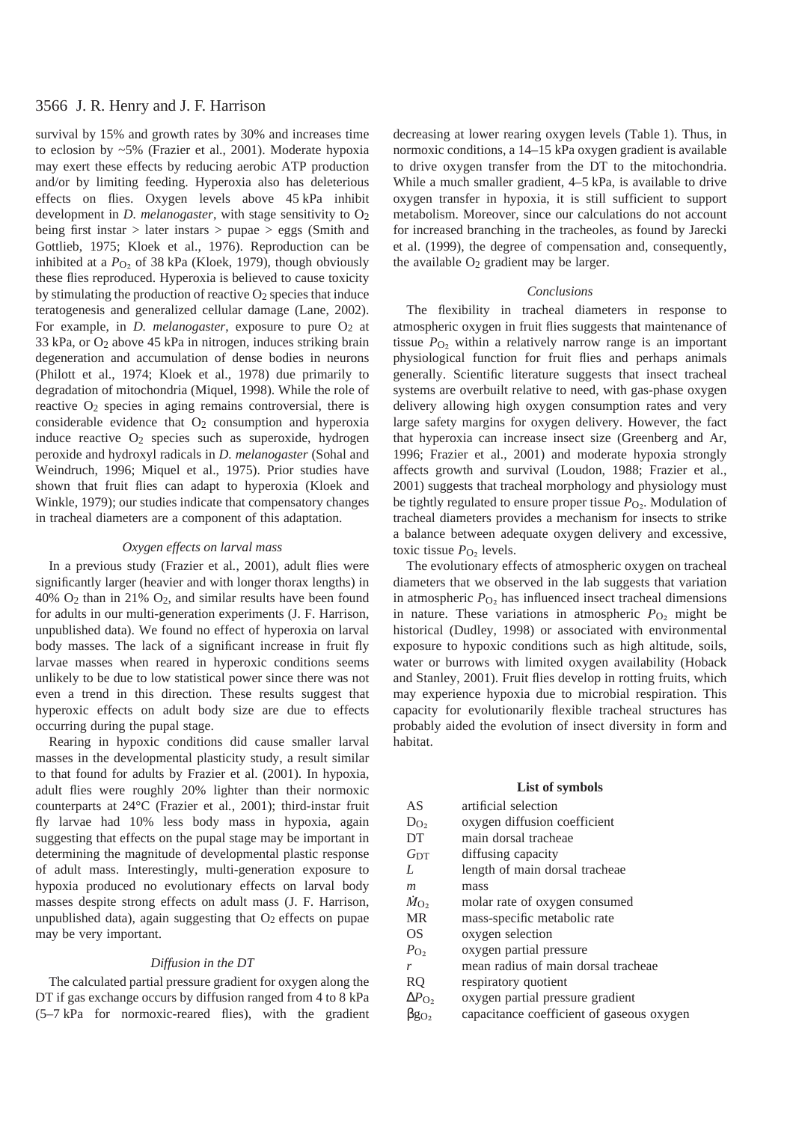survival by 15% and growth rates by 30% and increases time to eclosion by ~5% (Frazier et al., 2001). Moderate hypoxia may exert these effects by reducing aerobic ATP production and/or by limiting feeding. Hyperoxia also has deleterious effects on flies. Oxygen levels above 45 kPa inhibit development in *D. melanogaster*, with stage sensitivity to  $O<sub>2</sub>$ being first instar > later instars > pupae > eggs (Smith and Gottlieb, 1975; Kloek et al., 1976). Reproduction can be inhibited at a  $P<sub>O2</sub>$  of 38 kPa (Kloek, 1979), though obviously these flies reproduced. Hyperoxia is believed to cause toxicity by stimulating the production of reactive  $O_2$  species that induce teratogenesis and generalized cellular damage (Lane, 2002). For example, in *D. melanogaster*, exposure to pure O<sub>2</sub> at 33 kPa, or  $O_2$  above 45 kPa in nitrogen, induces striking brain degeneration and accumulation of dense bodies in neurons (Philott et al., 1974; Kloek et al., 1978) due primarily to degradation of mitochondria (Miquel, 1998). While the role of reactive O<sub>2</sub> species in aging remains controversial, there is considerable evidence that  $O<sub>2</sub>$  consumption and hyperoxia induce reactive  $O_2$  species such as superoxide, hydrogen peroxide and hydroxyl radicals in *D. melanogaster* (Sohal and Weindruch, 1996; Miquel et al., 1975). Prior studies have shown that fruit flies can adapt to hyperoxia (Kloek and Winkle, 1979); our studies indicate that compensatory changes in tracheal diameters are a component of this adaptation.

## *Oxygen effects on larval mass*

In a previous study (Frazier et al*.*, 2001), adult flies were significantly larger (heavier and with longer thorax lengths) in  $40\%$  O<sub>2</sub> than in 21% O<sub>2</sub>, and similar results have been found for adults in our multi-generation experiments (J. F. Harrison, unpublished data). We found no effect of hyperoxia on larval body masses. The lack of a significant increase in fruit fly larvae masses when reared in hyperoxic conditions seems unlikely to be due to low statistical power since there was not even a trend in this direction. These results suggest that hyperoxic effects on adult body size are due to effects occurring during the pupal stage.

Rearing in hypoxic conditions did cause smaller larval masses in the developmental plasticity study, a result similar to that found for adults by Frazier et al. (2001). In hypoxia, adult flies were roughly 20% lighter than their normoxic counterparts at 24°C (Frazier et al*.*, 2001); third-instar fruit fly larvae had 10% less body mass in hypoxia, again suggesting that effects on the pupal stage may be important in determining the magnitude of developmental plastic response of adult mass. Interestingly, multi-generation exposure to hypoxia produced no evolutionary effects on larval body masses despite strong effects on adult mass (J. F. Harrison, unpublished data), again suggesting that  $O<sub>2</sub>$  effects on pupae may be very important.

### *Diffusion in the DT*

The calculated partial pressure gradient for oxygen along the DT if gas exchange occurs by diffusion ranged from 4 to 8 kPa  $(5-7)$  kPa for normoxic-reared flies), with the gradient decreasing at lower rearing oxygen levels (Table 1). Thus, in normoxic conditions, a 14–15 kPa oxygen gradient is available to drive oxygen transfer from the DT to the mitochondria. While a much smaller gradient,  $4-5$  kPa, is available to drive oxygen transfer in hypoxia, it is still sufficient to support metabolism. Moreover, since our calculations do not account for increased branching in the tracheoles, as found by Jarecki et al. (1999), the degree of compensation and, consequently, the available  $O<sub>2</sub>$  gradient may be larger.

#### *Conclusions*

The flexibility in tracheal diameters in response to atmospheric oxygen in fruit flies suggests that maintenance of tissue  $P_{\text{O}_2}$  within a relatively narrow range is an important physiological function for fruit flies and perhaps animals generally. Scientific literature suggests that insect tracheal systems are overbuilt relative to need, with gas-phase oxygen delivery allowing high oxygen consumption rates and very large safety margins for oxygen delivery. However, the fact that hyperoxia can increase insect size (Greenberg and Ar, 1996; Frazier et al., 2001) and moderate hypoxia strongly affects growth and survival (Loudon, 1988; Frazier et al., 2001) suggests that tracheal morphology and physiology must be tightly regulated to ensure proper tissue  $P<sub>O2</sub>$ . Modulation of tracheal diameters provides a mechanism for insects to strike a balance between adequate oxygen delivery and excessive, toxic tissue  $P_{\Omega_2}$  levels.

The evolutionary effects of atmospheric oxygen on tracheal diameters that we observed in the lab suggests that variation in atmospheric  $P_{\text{O}_2}$  has influenced insect tracheal dimensions in nature. These variations in atmospheric  $P<sub>O<sub>2</sub></sub>$  might be historical (Dudley, 1998) or associated with environmental exposure to hypoxic conditions such as high altitude, soils, water or burrows with limited oxygen availability (Hoback and Stanley, 2001). Fruit flies develop in rotting fruits, which may experience hypoxia due to microbial respiration. This capacity for evolutionarily flexible tracheal structures has probably aided the evolution of insect diversity in form and habitat.

#### **List of symbols**

| AS                      | artificial selection                      |
|-------------------------|-------------------------------------------|
| $D_{\Omega}$            | oxygen diffusion coefficient              |
| DT                      | main dorsal tracheae                      |
| $G_{\rm DT}$            | diffusing capacity                        |
| L                       | length of main dorsal tracheae            |
| m                       | mass                                      |
| $M_{\Omega}$            | molar rate of oxygen consumed             |
| <b>MR</b>               | mass-specific metabolic rate              |
| OS                      | oxygen selection                          |
| $P_{\Omega}$            | oxygen partial pressure                   |
| r                       | mean radius of main dorsal tracheae       |
| RO.                     | respiratory quotient                      |
| $\Delta P_{\rm O_2}$    | oxygen partial pressure gradient          |
| $\beta$ go <sub>2</sub> | capacitance coefficient of gaseous oxygen |